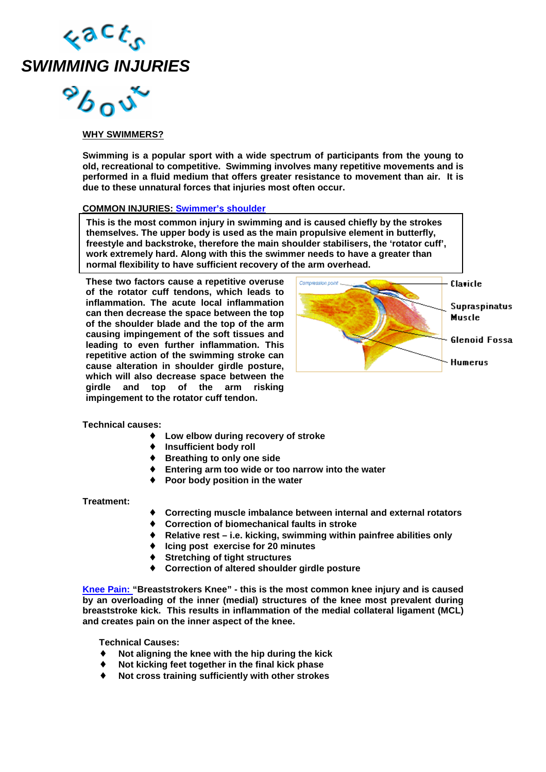

 $^{\circ}b$ 00

## **WHY SWIMMERS?**

**Swimming is a popular sport with a wide spectrum of participants from the young to old, recreational to competitive. Swimming involves many repetitive movements and is performed in a fluid medium that offers greater resistance to movement than air. It is due to these unnatural forces that injuries most often occur.** 

## **COMMON INJURIES: Swimmer's shoulder**

This is the most common injury in swimming and is caused chiefly by the strokes **themselves. The upper body is used as the main propulsive element in butterfly, freestyle and backstroke, therefore the main shoulder stabilisers, the 'rotator cuff', work extremely hard. Along with this the swimmer needs to have a greater than normal flexibility to have sufficient recovery of the arm overhead.** 

**These two factors cause a repetitive overuse of the rotator cuff tendons, which leads to inflammation. The acute local inflammation can then decrease the space between the top of the shoulder blade and the top of the arm causing impingement of the soft tissues and leading to even further inflammation. This repetitive action of the swimming stroke can cause alteration in shoulder girdle posture, which will also decrease space between the girdle and top of the arm risking impingement to the rotator cuff tendon.** 



**Technical causes:** 

- ♦ **Low elbow during recovery of stroke**
- ♦ **Insufficient body roll**
- ♦ **Breathing to only one side**
- ♦ **Entering arm too wide or too narrow into the water**
- **Poor body position in the water**

**Treatment:** 

- ♦ **Correcting muscle imbalance between internal and external rotators**
- ♦ **Correction of biomechanical faults in stroke**
- ♦ **Relative rest i.e. kicking, swimming within painfree abilities only**
- **Icing post exercise for 20 minutes**
- **Stretching of tight structures**
- **Correction of altered shoulder girdle posture**

**Knee Pain: "Breaststrokers Knee" - this is the most common knee injury and is caused by an overloading of the inner (medial) structures of the knee most prevalent during breaststroke kick. This results in inflammation of the medial collateral ligament (MCL) and creates pain on the inner aspect of the knee.** 

**Technical Causes:** 

- ♦ **Not aligning the knee with the hip during the kick**
- Not kicking feet together in the final kick phase
- Not cross training sufficiently with other strokes